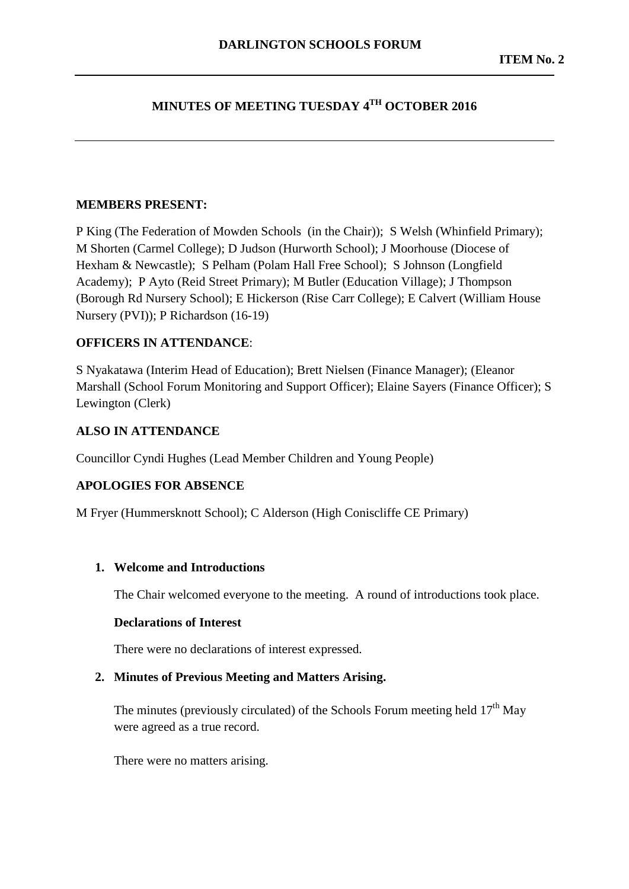# **MINUTES OF MEETING TUESDAY 4TH OCTOBER 2016**

#### **MEMBERS PRESENT:**

P King (The Federation of Mowden Schools (in the Chair)); S Welsh (Whinfield Primary); M Shorten (Carmel College); D Judson (Hurworth School); J Moorhouse (Diocese of Hexham & Newcastle); S Pelham (Polam Hall Free School); S Johnson (Longfield Academy); P Ayto (Reid Street Primary); M Butler (Education Village); J Thompson (Borough Rd Nursery School); E Hickerson (Rise Carr College); E Calvert (William House Nursery (PVI)); P Richardson (16-19)

#### **OFFICERS IN ATTENDANCE**:

S Nyakatawa (Interim Head of Education); Brett Nielsen (Finance Manager); (Eleanor Marshall (School Forum Monitoring and Support Officer); Elaine Sayers (Finance Officer); S Lewington (Clerk)

#### **ALSO IN ATTENDANCE**

Councillor Cyndi Hughes (Lead Member Children and Young People)

#### **APOLOGIES FOR ABSENCE**

M Fryer (Hummersknott School); C Alderson (High Coniscliffe CE Primary)

## **1. Welcome and Introductions**

The Chair welcomed everyone to the meeting. A round of introductions took place.

#### **Declarations of Interest**

There were no declarations of interest expressed.

#### **2. Minutes of Previous Meeting and Matters Arising.**

The minutes (previously circulated) of the Schools Forum meeting held  $17<sup>th</sup>$  May were agreed as a true record.

There were no matters arising.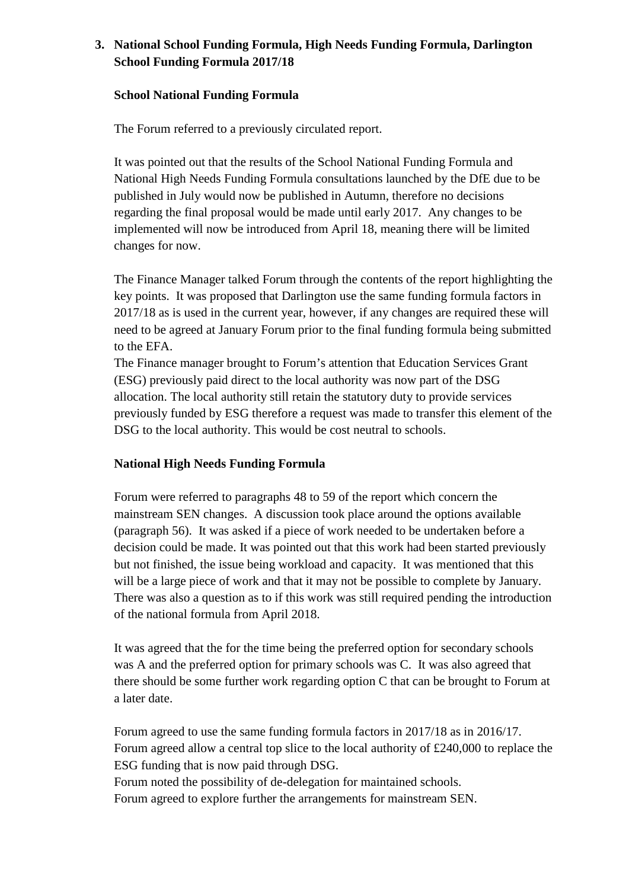# **3. National School Funding Formula, High Needs Funding Formula, Darlington School Funding Formula 2017/18**

#### **School National Funding Formula**

The Forum referred to a previously circulated report.

It was pointed out that the results of the School National Funding Formula and National High Needs Funding Formula consultations launched by the DfE due to be published in July would now be published in Autumn, therefore no decisions regarding the final proposal would be made until early 2017. Any changes to be implemented will now be introduced from April 18, meaning there will be limited changes for now.

The Finance Manager talked Forum through the contents of the report highlighting the key points. It was proposed that Darlington use the same funding formula factors in 2017/18 as is used in the current year, however, if any changes are required these will need to be agreed at January Forum prior to the final funding formula being submitted to the EFA.

The Finance manager brought to Forum's attention that Education Services Grant (ESG) previously paid direct to the local authority was now part of the DSG allocation. The local authority still retain the statutory duty to provide services previously funded by ESG therefore a request was made to transfer this element of the DSG to the local authority. This would be cost neutral to schools.

## **National High Needs Funding Formula**

Forum were referred to paragraphs 48 to 59 of the report which concern the mainstream SEN changes. A discussion took place around the options available (paragraph 56). It was asked if a piece of work needed to be undertaken before a decision could be made. It was pointed out that this work had been started previously but not finished, the issue being workload and capacity. It was mentioned that this will be a large piece of work and that it may not be possible to complete by January. There was also a question as to if this work was still required pending the introduction of the national formula from April 2018.

It was agreed that the for the time being the preferred option for secondary schools was A and the preferred option for primary schools was C. It was also agreed that there should be some further work regarding option C that can be brought to Forum at a later date.

Forum agreed to use the same funding formula factors in 2017/18 as in 2016/17. Forum agreed allow a central top slice to the local authority of £240,000 to replace the ESG funding that is now paid through DSG. Forum noted the possibility of de-delegation for maintained schools.

Forum agreed to explore further the arrangements for mainstream SEN.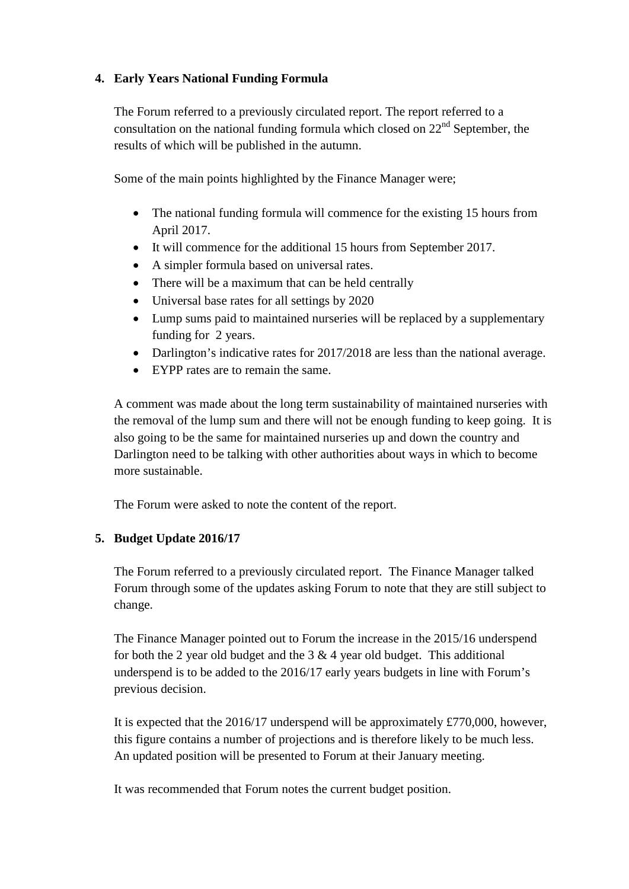# **4. Early Years National Funding Formula**

The Forum referred to a previously circulated report. The report referred to a consultation on the national funding formula which closed on  $22<sup>nd</sup>$  September, the results of which will be published in the autumn.

Some of the main points highlighted by the Finance Manager were;

- The national funding formula will commence for the existing 15 hours from April 2017.
- It will commence for the additional 15 hours from September 2017.
- A simpler formula based on universal rates.
- There will be a maximum that can be held centrally
- Universal base rates for all settings by 2020
- Lump sums paid to maintained nurseries will be replaced by a supplementary funding for 2 years.
- Darlington's indicative rates for 2017/2018 are less than the national average.
- EYPP rates are to remain the same.

A comment was made about the long term sustainability of maintained nurseries with the removal of the lump sum and there will not be enough funding to keep going. It is also going to be the same for maintained nurseries up and down the country and Darlington need to be talking with other authorities about ways in which to become more sustainable.

The Forum were asked to note the content of the report.

## **5. Budget Update 2016/17**

The Forum referred to a previously circulated report. The Finance Manager talked Forum through some of the updates asking Forum to note that they are still subject to change.

The Finance Manager pointed out to Forum the increase in the 2015/16 underspend for both the 2 year old budget and the  $3 \& 4$  year old budget. This additional underspend is to be added to the 2016/17 early years budgets in line with Forum's previous decision.

It is expected that the 2016/17 underspend will be approximately £770,000, however, this figure contains a number of projections and is therefore likely to be much less. An updated position will be presented to Forum at their January meeting.

It was recommended that Forum notes the current budget position.